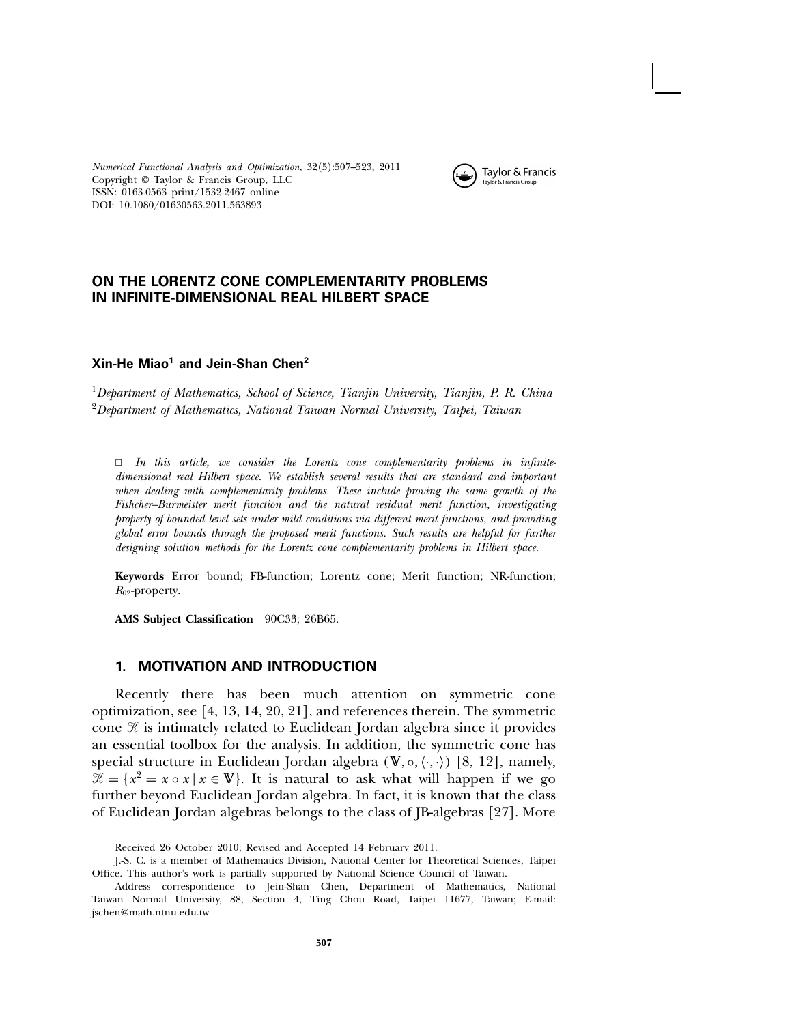Numerical Functional Analysis and Optimization, 32(5):507–523, 2011 Copyright © Taylor & Francis Group, LLC ISSN: 0163-0563 print/1532-2467 online DOI: 10.1080/01630563.2011.563893



# ON THE LORENTZ CONE COMPLEMENTARITY PROBLEMS IN INFINITE-DIMENSIONAL REAL HILBERT SPACE

#### $X$ in-He Miao<sup>1</sup> and Jein-Shan Chen<sup>2</sup>

<sup>1</sup>Department of Mathematics, School of Science, Tianjin University, Tianjin, P. R. China  $2D$ epartment of Mathematics, National Taiwan Normal University, Taipei, Taiwan

 $\Box$  In this article, we consider the Lorentz cone complementarity problems in infinitedimensional real Hilbert space. We establish several results that are standard and important when dealing with complementarity problems. These include proving the same growth of the Fishcher–Burmeister merit function and the natural residual merit function, investigating property of bounded level sets under mild conditions via different merit functions, and providing global error bounds through the proposed merit functions. Such results are helpful for further designing solution methods for the Lorentz cone complementarity problems in Hilbert space.

**Keywords** Error bound; FB-function; Lorentz cone; Merit function; NR-function;  $R_{02}$ -property.

**AMS Subject Classification** 90C33; 26B65.

# 1. MOTIVATION AND INTRODUCTION

Recently there has been much attention on symmetric cone optimization, see [4, 13, 14, 20, 21], and references therein. The symmetric cone  $\mathcal K$  is intimately related to Euclidean Jordan algebra since it provides an essential toolbox for the analysis. In addition, the symmetric cone has special structure in Euclidean Jordan algebra  $(\mathbb{V}, \circ, \langle \cdot, \cdot \rangle)$  [8, 12], namely,  $\mathcal{X} = \{x^2 = x \circ x \mid x \in \mathbb{V}\}.$  It is natural to ask what will happen if we go further beyond Euclidean Jordan algebra. In fact, it is known that the class of Euclidean Jordan algebras belongs to the class of JB-algebras [27]. More

Received 26 October 2010; Revised and Accepted 14 February 2011.

J.-S. C. is a member of Mathematics Division, National Center for Theoretical Sciences, Taipei Office. This author's work is partially supported by National Science Council of Taiwan.

Address correspondence to Jein-Shan Chen, Department of Mathematics, National Taiwan Normal University, 88, Section 4, Ting Chou Road, Taipei 11677, Taiwan; E-mail: jschen@math.ntnu.edu.tw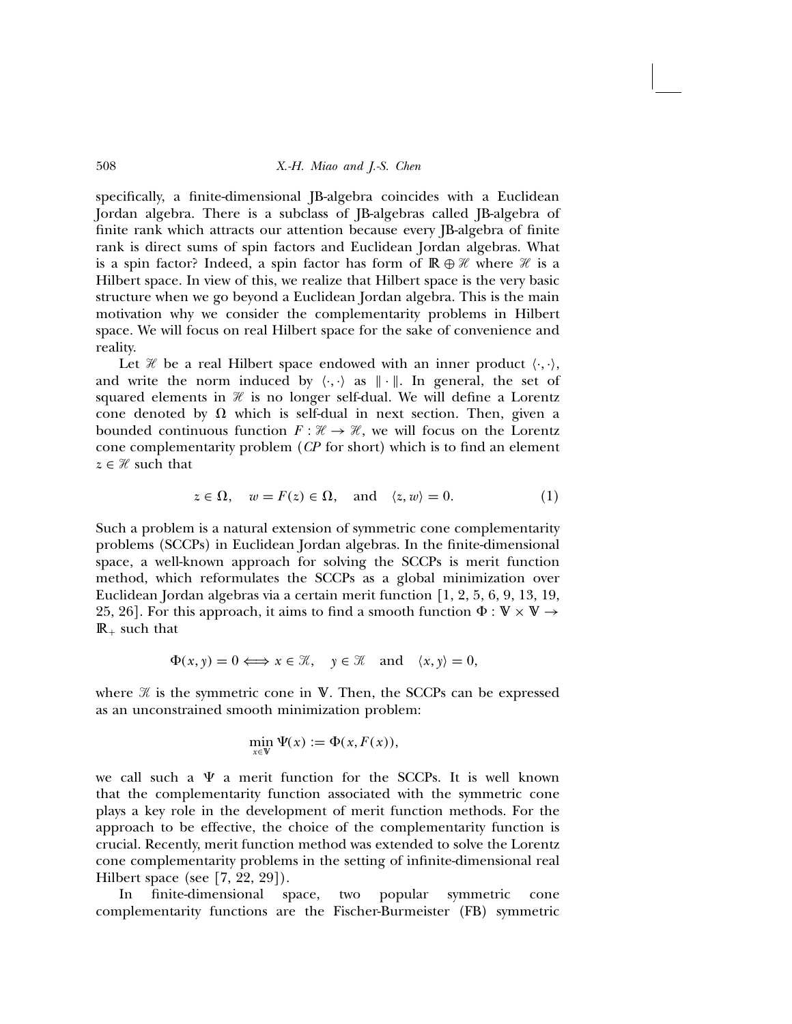specifically, a finite-dimensional JB-algebra coincides with a Euclidean Jordan algebra. There is a subclass of JB-algebras called JB-algebra of finite rank which attracts our attention because every JB-algebra of finite rank is direct sums of spin factors and Euclidean Jordan algebras. What is a spin factor? Indeed, a spin factor has form of  $\mathbb{R} \oplus \mathcal{H}$  where  $\mathcal{H}$  is a Hilbert space. In view of this, we realize that Hilbert space is the very basic structure when we go beyond a Euclidean Jordan algebra. This is the main motivation why we consider the complementarity problems in Hilbert space. We will focus on real Hilbert space for the sake of convenience and reality.

Let  $\mathcal H$  be a real Hilbert space endowed with an inner product  $\langle \cdot, \cdot \rangle$ , and write the norm induced by  $\langle \cdot, \cdot \rangle$  as  $\|\cdot\|$ . In general, the set of squared elements in  $\mathcal H$  is no longer self-dual. We will define a Lorentz cone denoted by  $\Omega$  which is self-dual in next section. Then, given a bounded continuous function  $F : \mathcal{H} \to \mathcal{H}$ , we will focus on the Lorentz cone complementarity problem (CP for short) which is to find an element  $z \in \mathcal{H}$  such that

$$
z \in \Omega
$$
,  $w = F(z) \in \Omega$ , and  $\langle z, w \rangle = 0$ . (1)

Such a problem is a natural extension of symmetric cone complementarity problems (SCCPs) in Euclidean Jordan algebras. In the finite-dimensional space, a well-known approach for solving the SCCPs is merit function method, which reformulates the SCCPs as a global minimization over Euclidean Jordan algebras via a certain merit function [1, 2, 5, 6, 9, 13, 19, 25, 26]. For this approach, it aims to find a smooth function  $\Phi : \mathbb{V} \times \mathbb{V} \to$  $\mathbb{R}_+$  such that

$$
\Phi(x, y) = 0 \Longleftrightarrow x \in \mathcal{K}, \quad y \in \mathcal{K} \quad \text{and} \quad \langle x, y \rangle = 0,
$$

where  $\mathcal X$  is the symmetric cone in  $\mathbb V.$  Then, the SCCPs can be expressed as an unconstrained smooth minimization problem:

$$
\min_{x \in \mathbb{V}} \Psi(x) := \Phi(x, F(x)),
$$

we call such a  $\Psi$  a merit function for the SCCPs. It is well known that the complementarity function associated with the symmetric cone plays a key role in the development of merit function methods. For the approach to be effective, the choice of the complementarity function is crucial. Recently, merit function method was extended to solve the Lorentz cone complementarity problems in the setting of infinite-dimensional real Hilbert space (see [7, 22, 29]).

In finite-dimensional space, two popular symmetric cone complementarity functions are the Fischer-Burmeister (FB) symmetric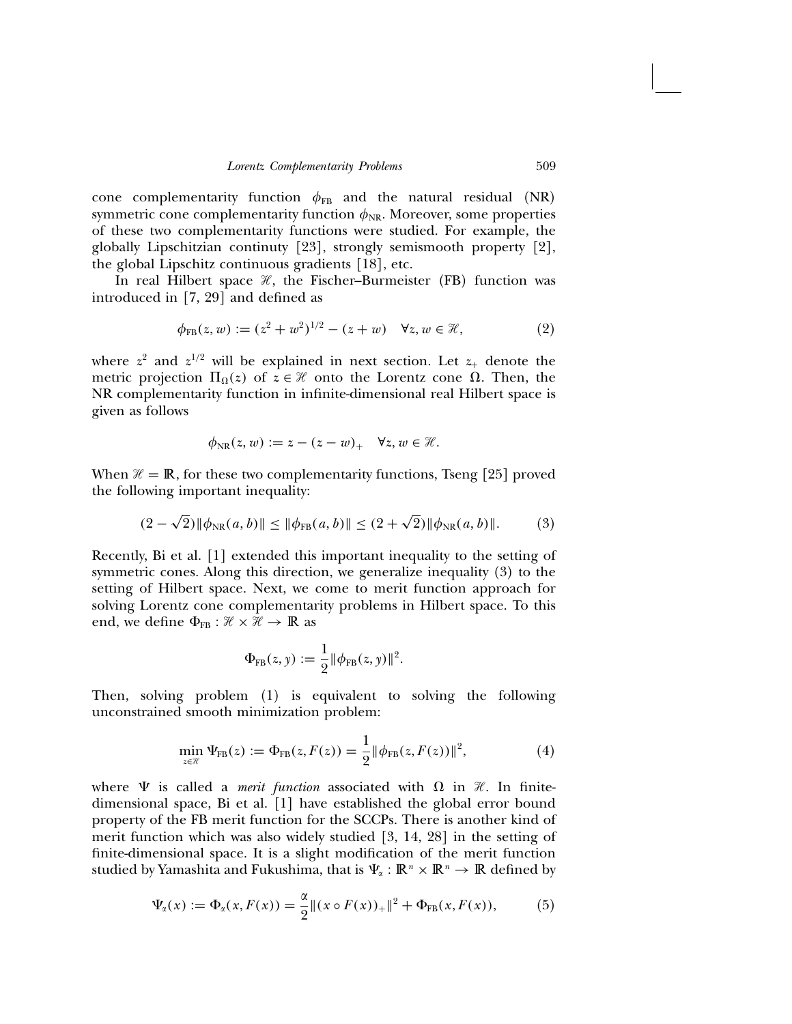cone complementarity function  $\phi_{FB}$  and the natural residual (NR) symmetric cone complementarity function  $\phi_{NR}$ . Moreover, some properties of these two complementarity functions were studied. For example, the globally Lipschitzian continuty [23], strongly semismooth property [2], the global Lipschitz continuous gradients [18], etc.

In real Hilbert space  $\mathcal{H}$ , the Fischer–Burmeister (FB) function was introduced in [7, 29] and defined as

$$
\phi_{\text{FB}}(z, w) := (z^2 + w^2)^{1/2} - (z + w) \quad \forall z, w \in \mathcal{H}, \tag{2}
$$

where  $z^2$  and  $z^{1/2}$  will be explained in next section. Let  $z_+$  denote the metric projection  $\Pi_{\Omega}(z)$  of  $z \in \mathcal{H}$  onto the Lorentz cone  $\Omega$ . Then, the NR complementarity function in infinite-dimensional real Hilbert space is given as follows

$$
\phi_{\rm NR}(z,w):=z-(z-w)_+\quad \forall z,w\in\mathcal{H}.
$$

When  $\mathcal{H} = \mathbb{R}$ , for these two complementarity functions, Tseng [25] proved the following important inequality:

$$
(2 - \sqrt{2}) \|\phi_{NR}(a, b)\| \le \|\phi_{FB}(a, b)\| \le (2 + \sqrt{2}) \|\phi_{NR}(a, b)\|.
$$
 (3)

Recently, Bi et al. [1] extended this important inequality to the setting of symmetric cones. Along this direction, we generalize inequality (3) to the setting of Hilbert space. Next, we come to merit function approach for solving Lorentz cone complementarity problems in Hilbert space. To this end, we define  $\Phi_{FB} : \mathcal{H} \times \mathcal{H} \to \mathbb{R}$  as

$$
\Phi_{FB}(z, y) := \frac{1}{2} || \phi_{FB}(z, y) ||^2.
$$

Then, solving problem (1) is equivalent to solving the following unconstrained smooth minimization problem:

$$
\min_{z \in \mathcal{H}} \Psi_{\text{FB}}(z) := \Phi_{\text{FB}}(z, F(z)) = \frac{1}{2} ||\phi_{\text{FB}}(z, F(z))||^2, \tag{4}
$$

where  $\Psi$  is called a *merit function* associated with  $\Omega$  in  $\mathcal{H}$ . In finitedimensional space, Bi et al. [1] have established the global error bound property of the FB merit function for the SCCPs. There is another kind of merit function which was also widely studied [3, 14, 28] in the setting of finite-dimensional space. It is a slight modification of the merit function studied by Yamashita and Fukushima, that is  $\Psi_{\alpha}: \mathbb{R}^n \times \mathbb{R}^n \to \mathbb{R}$  defined by

$$
\Psi_{\alpha}(x) := \Phi_{\alpha}(x, F(x)) = \frac{\alpha}{2} ||(x \circ F(x))_{+}||^{2} + \Phi_{\text{FB}}(x, F(x)), \quad (5)
$$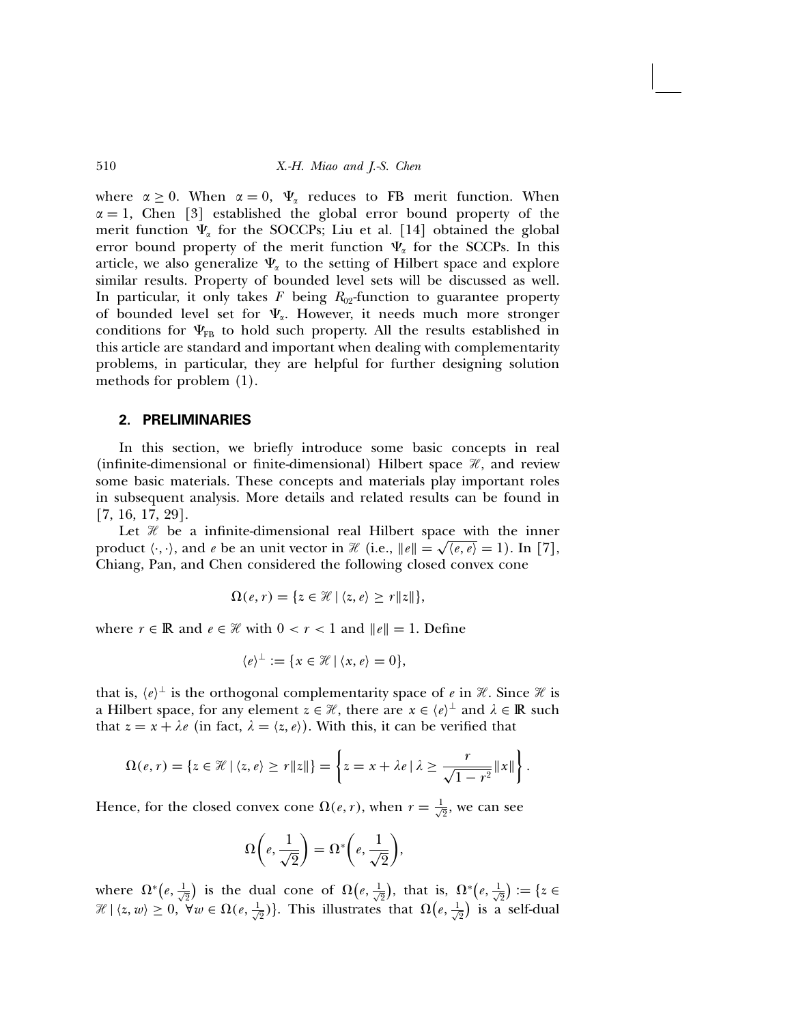where  $\alpha \geq 0$ . When  $\alpha = 0$ ,  $\Psi_{\alpha}$  reduces to FB merit function. When  $\alpha = 1$ , Chen [3] established the global error bound property of the merit function  $\Psi_{\alpha}$  for the SOCCPs; Liu et al. [14] obtained the global error bound property of the merit function  $\Psi_{\alpha}$  for the SCCPs. In this article, we also generalize  $\Psi_{\alpha}$  to the setting of Hilbert space and explore similar results. Property of bounded level sets will be discussed as well. In particular, it only takes  $F$  being  $R_{02}$ -function to guarantee property of bounded level set for  $\Psi_{\alpha}$ . However, it needs much more stronger conditions for  $\Psi_{FR}$  to hold such property. All the results established in this article are standard and important when dealing with complementarity problems, in particular, they are helpful for further designing solution methods for problem (1).

#### 2. PRELIMINARIES

In this section, we briefly introduce some basic concepts in real (infinite-dimensional or finite-dimensional) Hilbert space  $\mathcal{H}$ , and review some basic materials. These concepts and materials play important roles in subsequent analysis. More details and related results can be found in [7, 16, 17, 29].

Let  $\mathcal X$  be a infinite-dimensional real Hilbert space with the inner product  $\langle \cdot, \cdot \rangle$ , and e be an unit vector in  $\mathcal{H}$  (i.e.,  $||e|| = \sqrt{\langle e, e \rangle} = 1$ ). In [7], Chiang, Pan, and Chen considered the following closed convex cone

$$
\Omega(e, r) = \{ z \in \mathcal{H} \mid \langle z, e \rangle \ge r \|z\| \},\
$$

where  $r \in \mathbb{R}$  and  $e \in \mathcal{H}$  with  $0 < r < 1$  and  $||e|| = 1$ . Define

$$
\langle e \rangle^{\perp} := \{ x \in \mathcal{H} \mid \langle x, e \rangle = 0 \},
$$

that is,  $\langle e \rangle^{\perp}$  is the orthogonal complementarity space of e in H. Since H is a Hilbert space, for any element  $z \in \mathcal{H}$ , there are  $x \in \langle e \rangle^{\perp}$  and  $\lambda \in \mathbb{R}$  such that  $z = x + \lambda e$  (in fact,  $\lambda = \langle z, e \rangle$ ). With this, it can be verified that

$$
\Omega(e,r) = \left\{ z \in \mathcal{H} \mid \langle z,e \rangle \geq r \|z\| \right\} = \left\{ z = x + \lambda e \mid \lambda \geq \frac{r}{\sqrt{1-r^2}} \|x\| \right\}.
$$

Hence, for the closed convex cone  $\Omega(e, r)$ , when  $r = \frac{1}{\sqrt{2}}$ , we can see

$$
\Omega\bigg(e, \frac{1}{\sqrt{2}}\bigg) = \Omega^*\bigg(e, \frac{1}{\sqrt{2}}\bigg),
$$

where  $\Omega^*(e, \frac{1}{\sqrt{2}})$  is the dual cone of  $\Omega(e, \frac{1}{\sqrt{2}})$ , that is,  $\Omega^*(e, \frac{1}{\sqrt{2}}) := \{z \in$  $\mathcal{H} \mid \langle z, w \rangle \geq 0, \ \forall w \in \Omega(e, \frac{1}{\sqrt{2}}) \}.$  This illustrates that  $\Omega\left(e, \frac{1}{\sqrt{2}}\right)$  is a self-dual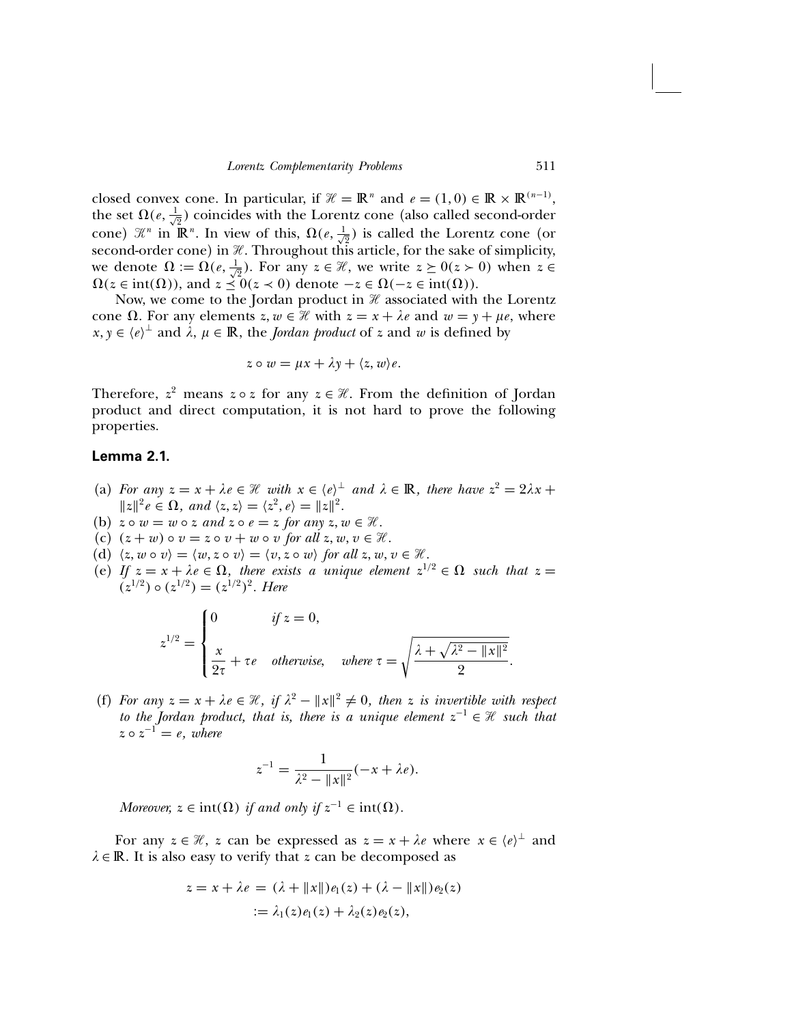closed convex cone. In particular, if  $\mathcal{H} = \mathbb{R}^n$  and  $e = (1, 0) \in \mathbb{R} \times \mathbb{R}^{(n-1)}$ , the set  $\Omega(e, \frac{1}{\sqrt{2}})$  coincides with the Lorentz cone (also called second-order cone)  $\mathbb{X}^n$  in  $\mathbb{R}^n$ . In view of this,  $\Omega(e, \frac{1}{\sqrt{2}})$  is called the Lorentz cone (or second-order cone) in  $\mathcal X$ . Throughout this article, for the sake of simplicity, we denote  $\Omega := \Omega(e, \frac{1}{\sqrt{2}})$ . For any  $z \in \mathcal{H}$ , we write  $z \ge 0$  ( $z > 0$ ) when  $z \in \mathcal{H}$  $\Omega(z \in \text{int}(\Omega))$ , and  $z \preceq 0$  $(z \prec 0)$  denote  $-z \in \Omega(-z \in \text{int}(\Omega))$ .

Now, we come to the Jordan product in  $\mathcal H$  associated with the Lorentz cone  $\Omega$ . For any elements  $z, w \in \mathcal{H}$  with  $z = x + \lambda e$  and  $w = y + \mu e$ , where  $x, y \in \langle e \rangle^{\perp}$  and  $\lambda, \mu \in \mathbb{R}$ , the *Jordan product* of z and w is defined by

$$
z \circ w = \mu x + \lambda y + \langle z, w \rangle e.
$$

Therefore,  $z^2$  means  $z \circ z$  for any  $z \in \mathcal{H}$ . From the definition of Jordan product and direct computation, it is not hard to prove the following properties.

## Lemma 2.1.

- (a) For any  $z = x + \lambda e \in \mathcal{H}$  with  $x \in \langle e \rangle^{\perp}$  and  $\lambda \in \mathbb{R}$ , there have  $z^2 = 2\lambda x +$  $||z||^2 e \in \Omega$ , and  $\langle z,z\rangle = \langle z^2,e\rangle = ||z||^2$ .
- (b)  $z \circ w = w \circ z$  and  $z \circ e = z$  for any  $z, w \in \mathcal{H}$ .
- (c)  $(z + w) \circ v = z \circ v + w \circ v$  for all  $z, w, v \in \mathcal{H}$ .
- (d)  $\langle z, w \circ v \rangle = \langle w, z \circ v \rangle = \langle v, z \circ w \rangle$  for all  $z, w, v \in \mathcal{H}$ .
- (e) If  $z = x + \lambda e \in \Omega$ , there exists a unique element  $z^{1/2} \in \Omega$  such that  $z =$  $(z^{1/2}) \circ (z^{1/2}) = (z^{1/2})^2$ . Here

$$
z^{1/2} = \begin{cases} 0 & \text{if } z = 0, \\ \frac{x}{2\tau} + \tau e & \text{otherwise,} \end{cases} \quad \text{where } \tau = \sqrt{\frac{\lambda + \sqrt{\lambda^2 - ||x||^2}}{2}}.
$$

(f) For any  $z = x + \lambda e \in \mathcal{H}$ , if  $\lambda^2 - ||x||^2 \neq 0$ , then z is invertible with respect to the Jordan product, that is, there is a unique element  $z^{-1} \in \mathcal{H}$  such that  $z \circ z^{-1} = e$ , where

$$
z^{-1} = \frac{1}{\lambda^2 - ||x||^2}(-x + \lambda e).
$$

Moreover,  $z \in \text{int}(\Omega)$  if and only if  $z^{-1} \in \text{int}(\Omega)$ .

For any  $z \in \mathcal{H}$ , z can be expressed as  $z = x + \lambda e$  where  $x \in \langle e \rangle^{\perp}$  and  $\lambda \in \mathbb{R}$ . It is also easy to verify that z can be decomposed as

$$
z = x + \lambda e = (\lambda + ||x||)e_1(z) + (\lambda - ||x||)e_2(z)
$$
  
 :=  $\lambda_1(z)e_1(z) + \lambda_2(z)e_2(z)$ ,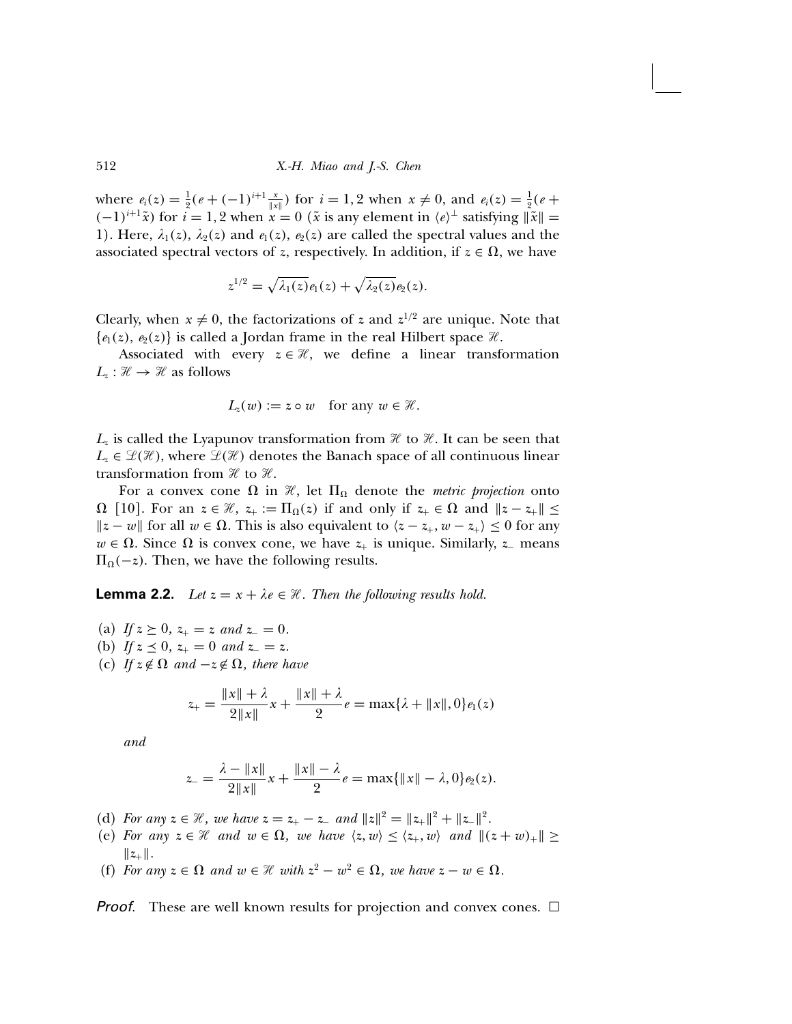where  $e_i(z) = \frac{1}{2}(e + (-1)^{i+1} \frac{x}{\|x\|})$  for  $i = 1, 2$  when  $x \neq 0$ , and  $e_i(z) = \frac{1}{2}(e + (-1)^{i+1} \frac{x}{\|x\|})$  $(-1)^{i+1}\tilde{x}$ ) for  $i = 1, 2$  when  $x = 0$  ( $\tilde{x}$  is any element in  $\langle e \rangle^{\perp}$  satisfying  $\|\tilde{x}\| =$ 1). Here,  $\lambda_1(z)$ ,  $\lambda_2(z)$  and  $e_1(z)$ ,  $e_2(z)$  are called the spectral values and the associated spectral vectors of z, respectively. In addition, if  $z \in \Omega$ , we have

$$
z^{1/2}=\sqrt{\lambda_1(z)}\mathbf{e}_1(z)+\sqrt{\lambda_2(z)}\mathbf{e}_2(z).
$$

Clearly, when  $x \neq 0$ , the factorizations of z and  $z^{1/2}$  are unique. Note that  $\{e_1(z), e_2(z)\}\$ is called a Jordan frame in the real Hilbert space  $\mathcal{H}$ .

Associated with every  $z \in \mathcal{H}$ , we define a linear transformation  $L_z : \mathcal{H} \to \mathcal{H}$  as follows

$$
L_z(w) := z \circ w \quad \text{for any } w \in \mathcal{H}.
$$

 $L_z$  is called the Lyapunov transformation from  $\mathcal H$  to  $\mathcal H$ . It can be seen that  $L_z \in \mathcal{L}(\mathcal{H})$ , where  $\mathcal{L}(\mathcal{H})$  denotes the Banach space of all continuous linear transformation from  $\mathcal X$  to  $\mathcal X$ .

For a convex cone  $\Omega$  in  $\mathcal{H}$ , let  $\Pi_{\Omega}$  denote the *metric projection* onto  $\Omega$  [10]. For an  $z \in \mathcal{H}$ ,  $z_+ := \Pi_{\Omega}(z)$  if and only if  $z_+ \in \Omega$  and  $||z - z_+|| \leq$  $||z - w||$  for all  $w \in Ω$ . This is also equivalent to  $\langle z - z_+, w - z_+ \rangle \le 0$  for any  $w \in \Omega$ . Since  $\Omega$  is convex cone, we have  $z_+$  is unique. Similarly,  $z_-\$  means  $\Pi_{\Omega}(-z)$ . Then, we have the following results.

**Lemma 2.2.** Let  $z = x + \lambda e \in \mathcal{H}$ . Then the following results hold.

(a) If  $z \geq 0$ ,  $z_{+} = z$  and  $z_{-} = 0$ . (b) If  $z \preceq 0$ ,  $z_+ = 0$  and  $z_- = z$ . (c) If  $z \notin \Omega$  and  $-z \notin \Omega$ , there have

$$
z_{+} = \frac{\|x\| + \lambda}{2\|x\|}x + \frac{\|x\| + \lambda}{2}e = \max\{\lambda + \|x\|, 0\}e_1(z)
$$

and

$$
z_{-} = \frac{\lambda - \|x\|}{2\|x\|}x + \frac{\|x\| - \lambda}{2}e = \max\{\|x\| - \lambda, 0\}e_2(z).
$$

- (d) For any  $z \in \mathcal{H}$ , we have  $z = z_+ z_-$  and  $||z||^2 = ||z_+||^2 + ||z_-||^2$ .
- (e) For any  $z \in \mathcal{H}$  and  $w \in \Omega$ , we have  $\langle z, w \rangle \le \langle z_+, w \rangle$  and  $|| (z + w)_+ || \ge$  $||z_+||.$
- (f) For any  $z \in \Omega$  and  $w \in \mathcal{H}$  with  $z^2 w^2 \in \Omega$ , we have  $z w \in \Omega$ .

**Proof.** These are well known results for projection and convex cones.  $\Box$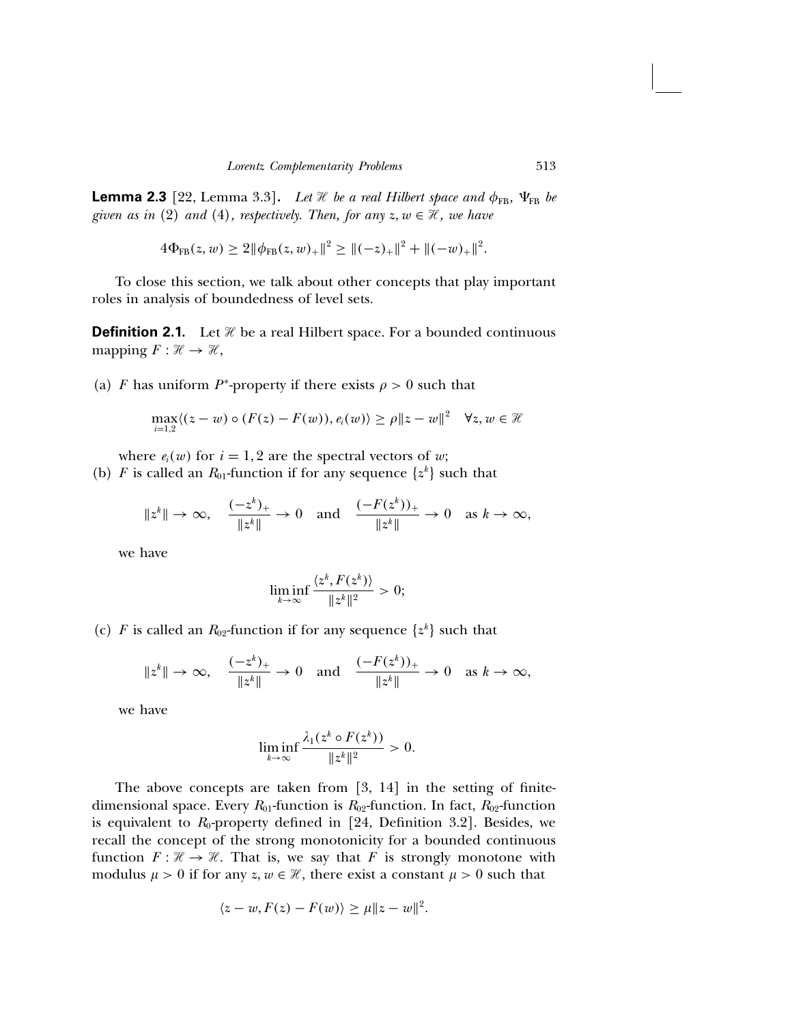**Lemma 2.3** [22, Lemma 3.3]. Let  $\mathcal{H}$  be a real Hilbert space and  $\phi_{FB}$ ,  $\Psi_{FB}$  be given as in (2) and (4), respectively. Then, for any  $z, w \in \mathcal{H}$ , we have

$$
4\Phi_{FB}(z,w) \ge 2\|\phi_{FB}(z,w)_+\|^2 \ge \|(-z)_+\|^2 + \|(-w)_+\|^2
$$

To close this section, we talk about other concepts that play important roles in analysis of boundedness of level sets.

**Definition 2.1.** Let  $\mathcal{H}$  be a real Hilbert space. For a bounded continuous mapping  $F : \mathcal{H} \to \mathcal{H}$ ,

(a) F has uniform P<sup>\*</sup>-property if there exists  $\rho > 0$  such that

$$
\max_{i=1,2} \langle (z-w) \circ (F(z) - F(w)), e_i(w) \rangle \ge \rho \|z-w\|^2 \quad \forall z, w \in \mathcal{H}
$$

where  $e_i(w)$  for  $i = 1, 2$  are the spectral vectors of w;

(b) F is called an  $R_{01}$ -function if for any sequence  $\{z^k\}$  such that

$$
\|z^k\| \to \infty, \quad \frac{(-z^k)_+}{\|z^k\|} \to 0 \quad \text{and} \quad \frac{(-F(z^k))_+}{\|z^k\|} \to 0 \quad \text{as } k \to \infty,
$$

we have

$$
\liminf_{k\to\infty}\frac{\langle z^k,F(z^k)\rangle}{\|z^k\|^2}>0;
$$

(c) F is called an  $R_{02}$ -function if for any sequence  $\{z^k\}$  such that

$$
\|z^k\| \to \infty, \quad \frac{(-z^k)_+}{\|z^k\|} \to 0 \quad \text{and} \quad \frac{(-F(z^k))_+}{\|z^k\|} \to 0 \quad \text{as } k \to \infty,
$$

we have

$$
\liminf_{k\to\infty}\frac{\lambda_1(z^k\circ F(z^k))}{\|z^k\|^2}>0.
$$

The above concepts are taken from [3, 14] in the setting of finitedimensional space. Every  $R_{01}$ -function is  $R_{02}$ -function. In fact,  $R_{02}$ -function is equivalent to  $R_0$ -property defined in [24, Definition 3.2]. Besides, we recall the concept of the strong monotonicity for a bounded continuous function  $F : \mathcal{H} \to \mathcal{H}$ . That is, we say that F is strongly monotone with modulus  $\mu > 0$  if for any  $z, w \in \mathcal{H}$ , there exist a constant  $\mu > 0$  such that

$$
\langle z-w, F(z)-F(w)\rangle \ge \mu \|z-w\|^2.
$$

.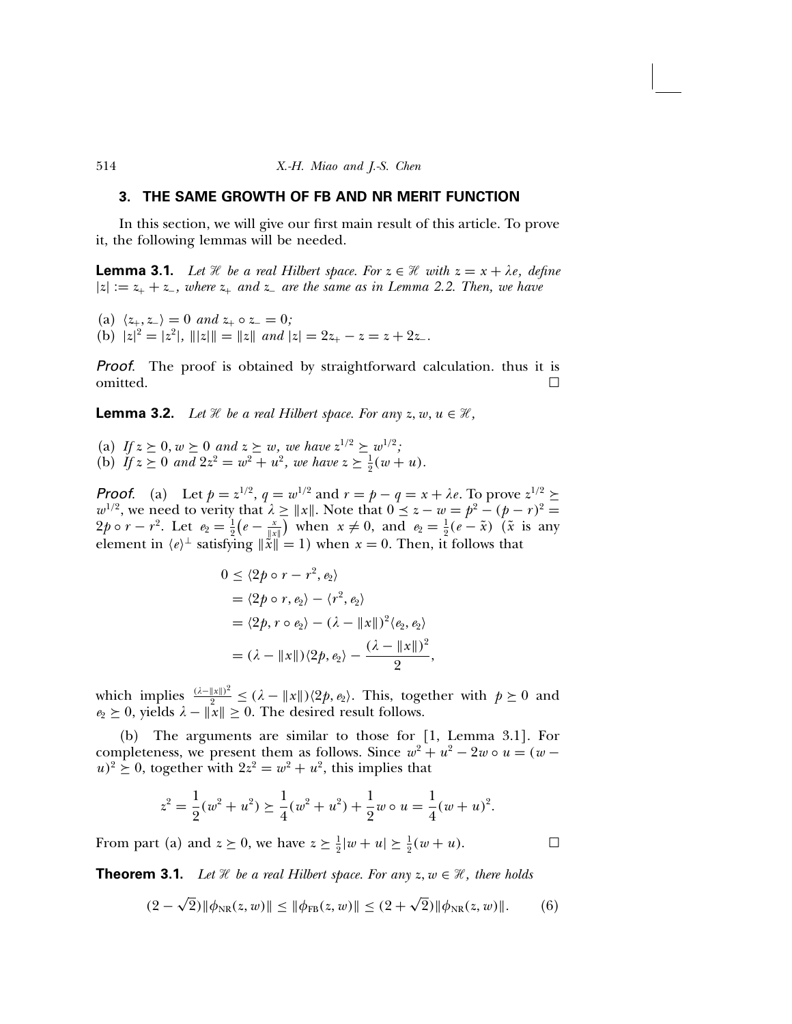## 3. THE SAME GROWTH OF FB AND NR MERIT FUNCTION

In this section, we will give our first main result of this article. To prove it, the following lemmas will be needed.

**Lemma 3.1.** Let  $\mathcal{H}$  be a real Hilbert space. For  $z \in \mathcal{H}$  with  $z = x + \lambda e$ , define  $|z| := z_+ + z_-$ , where  $z_+$  and  $z_-$  are the same as in Lemma 2.2. Then, we have

(a)  $\langle z_+, z_- \rangle = 0$  and  $z_+ \circ z_- = 0$ ; (b)  $|z|^2 = |z^2|$ ,  $|||z|| = ||z||$  and  $|z| = 2z_+ - z = z + 2z_-.$ 

Proof. The proof is obtained by straightforward calculation. thus it is omitted.  $\Box$ 

**Lemma 3.2.** Let  $\mathcal{H}$  be a real Hilbert space. For any  $z, w, u \in \mathcal{H}$ ,

(a) If  $z \geq 0$ ,  $w \geq 0$  and  $z \geq w$ , we have  $z^{1/2} \geq w^{1/2}$ ; (b) If  $z \ge 0$  and  $2z^2 = w^2 + u^2$ , we have  $z \ge \frac{1}{2}(w + u)$ .

**Proof.** (a) Let  $p = z^{1/2}$ ,  $q = w^{1/2}$  and  $r = p - q = x + \lambda e$ . To prove  $z^{1/2} \ge$  $w^{1/2}$ , we need to verity that  $\lambda \ge ||x||$ . Note that  $0 \le z - w = p^2 - (p - r)^2 = 0$  $2p \circ r - r^2$ . Let  $e_2 = \frac{1}{2}(e - \frac{x}{\|x\|})$  when  $x \neq 0$ , and  $e_2 = \frac{1}{2}(e - \tilde{x})$  ( $\tilde{x}$  is any element in  $\langle e \rangle^{\perp}$  satisfying  $\|\tilde{x}\| = 1$ ) when  $x = 0$ . Then, it follows that

$$
0 \le \langle 2p \circ r - r^2, e_2 \rangle
$$
  
=  $\langle 2p \circ r, e_2 \rangle - \langle r^2, e_2 \rangle$   
=  $\langle 2p, r \circ e_2 \rangle - (\lambda - ||x||)^2 \langle e_2, e_2 \rangle$   
=  $(\lambda - ||x||) \langle 2p, e_2 \rangle - \frac{(\lambda - ||x||)^2}{2},$ 

which implies  $\frac{(\lambda - ||x||)^2}{n^2} \leq (\lambda - ||x||)(2p, e_2)$ . This, together with  $p \geq 0$  and  $e_2 \geq 0$ , yields  $\lambda - ||x|| \geq 0$ . The desired result follows.

(b) The arguments are similar to those for [1, Lemma 3.1]. For completeness, we present them as follows. Since  $w^2 + u^2 - 2w \circ u = (w (u)^2 \geq 0$ , together with  $2z^2 = w^2 + u^2$ , this implies that

$$
z^{2} = \frac{1}{2}(w^{2} + u^{2}) \ge \frac{1}{4}(w^{2} + u^{2}) + \frac{1}{2}w \circ u = \frac{1}{4}(w + u)^{2}.
$$

From part (a) and  $z \ge 0$ , we have  $z \ge \frac{1}{2}|w + u| \ge \frac{1}{2}(w + u)$ .

**Theorem 3.1.** Let  $\mathcal{H}$  be a real Hilbert space. For any  $z, w \in \mathcal{H}$ , there holds

$$
(2 - \sqrt{2}) \|\phi_{NR}(z, w)\| \le \|\phi_{FB}(z, w)\| \le (2 + \sqrt{2}) \|\phi_{NR}(z, w)\|.
$$
 (6)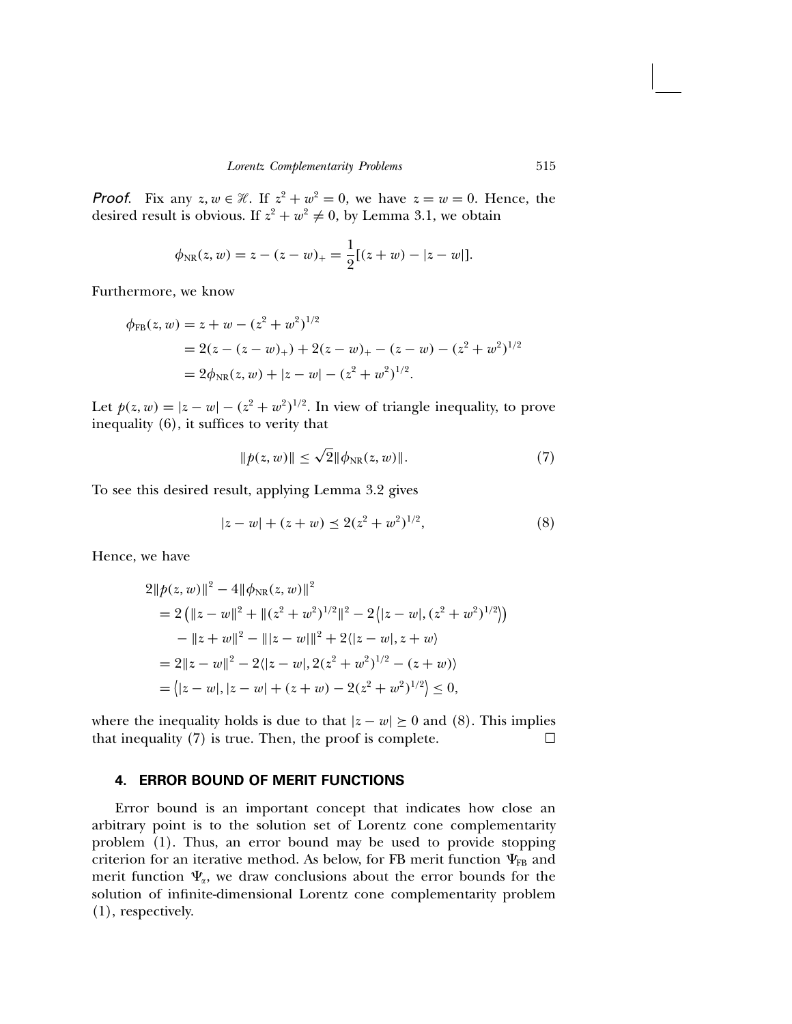**Proof.** Fix any  $z, w \in \mathcal{H}$ . If  $z^2 + w^2 = 0$ , we have  $z = w = 0$ . Hence, the desired result is obvious. If  $z^2 + w^2 \neq 0$ , by Lemma 3.1, we obtain

$$
\phi_{\rm NR}(z,w) = z - (z - w)_+ = \frac{1}{2}[(z + w) - |z - w|].
$$

Furthermore, we know

$$
\phi_{FB}(z, w) = z + w - (z^2 + w^2)^{1/2}
$$
  
= 2(z - (z - w)\_+) + 2(z - w)\_+ - (z - w) - (z^2 + w^2)^{1/2}  
= 2\phi\_{NR}(z, w) + |z - w| - (z^2 + w^2)^{1/2}.

Let  $p(z, w) = |z - w| - (z^2 + w^2)^{1/2}$ . In view of triangle inequality, to prove inequality (6), it suffices to verity that

$$
||p(z, w)|| \le \sqrt{2} ||\phi_{\rm NR}(z, w)||. \tag{7}
$$

To see this desired result, applying Lemma 3.2 gives

$$
|z - w| + (z + w) \le 2(z^2 + w^2)^{1/2}, \tag{8}
$$

Hence, we have

$$
2||p(z, w)||^2 - 4||\phi_{NR}(z, w)||^2
$$
  
=  $2 (||z - w||^2 + ||(z^2 + w^2)^{1/2}||^2 - 2(|z - w|, (z^2 + w^2)^{1/2}))$   
 $- ||z + w||^2 - |||z - w||^2 + 2(|z - w|, z + w)$   
=  $2||z - w||^2 - 2(|z - w|, 2(z^2 + w^2)^{1/2} - (z + w))$   
=  $||z - w|, |z - w| + (z + w) - 2(z^2 + w^2)^{1/2}) \le 0$ ,

where the inequality holds is due to that  $|z - w| \ge 0$  and (8). This implies that inequality (7) is true. Then, the proof is complete. that inequality (7) is true. Then, the proof is complete.

## 4. ERROR BOUND OF MERIT FUNCTIONS

Error bound is an important concept that indicates how close an arbitrary point is to the solution set of Lorentz cone complementarity problem (1). Thus, an error bound may be used to provide stopping criterion for an iterative method. As below, for FB merit function  $\Psi_{FB}$  and merit function  $\Psi_{\alpha}$ , we draw conclusions about the error bounds for the solution of infinite-dimensional Lorentz cone complementarity problem (1), respectively.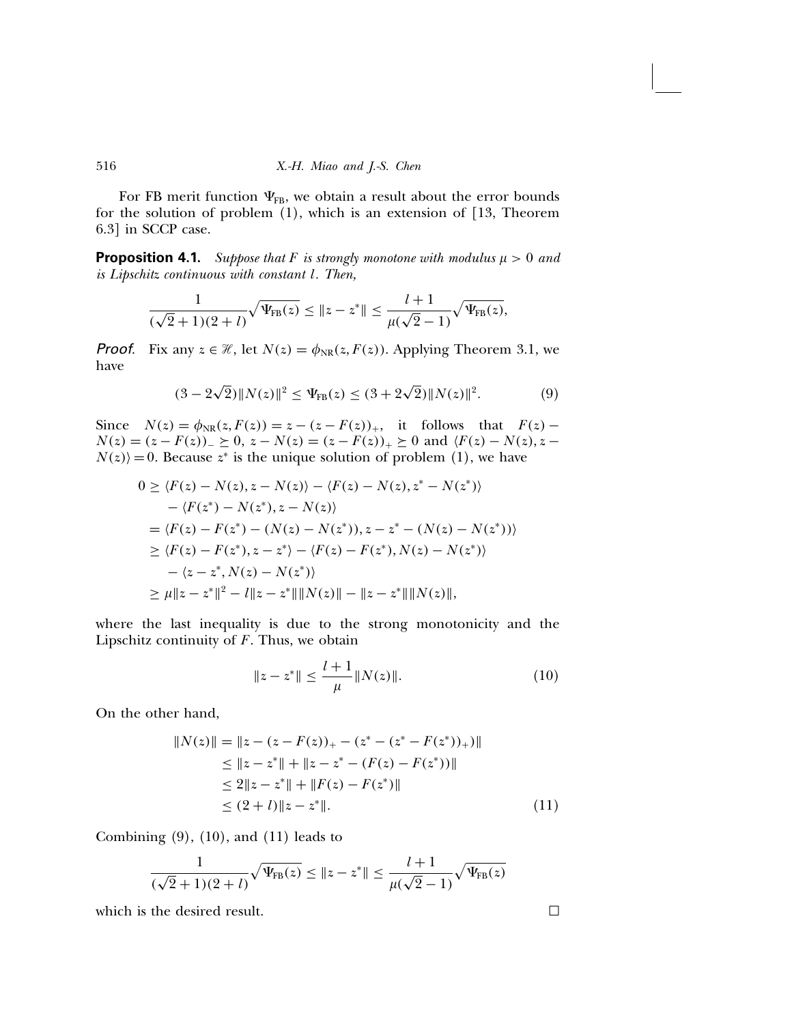For FB merit function  $\Psi_{FB}$ , we obtain a result about the error bounds for the solution of problem (1), which is an extension of [13, Theorem 6.3] in SCCP case.

**Proposition 4.1.** Suppose that F is strongly monotone with modulus  $\mu > 0$  and is Lipschitz continuous with constant l. Then,

$$
\frac{1}{(\sqrt{2}+1)(2+l)}\sqrt{\Psi_{FB}(z)} \leq \|z-z^*\| \leq \frac{l+1}{\mu(\sqrt{2}-1)}\sqrt{\Psi_{FB}(z)},
$$

**Proof.** Fix any  $z \in \mathcal{H}$ , let  $N(z) = \phi_{NR}(z, F(z))$ . Applying Theorem 3.1, we have

$$
(3 - 2\sqrt{2}) \|N(z)\|^2 \le \Psi_{\text{FB}}(z) \le (3 + 2\sqrt{2}) \|N(z)\|^2. \tag{9}
$$

Since  $N(z) = \phi_{NR}(z, F(z)) = z - (z - F(z))_{+}$ , it follows that  $F(z)$  –  $N(z) = (z - F(z))_{-} \ge 0$ ,  $z - N(z) = (z - F(z))_{+} \ge 0$  and  $\langle F(z) - N(z), z N(z)$  = 0. Because  $z^*$  is the unique solution of problem (1), we have

$$
0 \geq \langle F(z) - N(z), z - N(z) \rangle - \langle F(z) - N(z), z^* - N(z^*) \rangle
$$
  
\n
$$
- \langle F(z^*) - N(z^*), z - N(z) \rangle
$$
  
\n
$$
= \langle F(z) - F(z^*) - (N(z) - N(z^*)), z - z^* - (N(z) - N(z^*)) \rangle
$$
  
\n
$$
\geq \langle F(z) - F(z^*), z - z^* \rangle - \langle F(z) - F(z^*), N(z) - N(z^*) \rangle
$$
  
\n
$$
- \langle z - z^*, N(z) - N(z^*) \rangle
$$
  
\n
$$
\geq \mu \| z - z^* \|^2 - l \| z - z^* \| \| N(z) \| - \| z - z^* \| \| N(z) \|,
$$

where the last inequality is due to the strong monotonicity and the Lipschitz continuity of  $F$ . Thus, we obtain

$$
||z - z^*|| \le \frac{l+1}{\mu} ||N(z)||. \tag{10}
$$

On the other hand,

$$
||N(z)|| = ||z - (z - F(z))_{+} - (z^{*} - (z^{*} - F(z^{*}))_{+})||
$$
  
\n
$$
\le ||z - z^{*}|| + ||z - z^{*} - (F(z) - F(z^{*}))||
$$
  
\n
$$
\le 2||z - z^{*}|| + ||F(z) - F(z^{*})||
$$
  
\n
$$
\le (2 + l) ||z - z^{*}||. \tag{11}
$$

Combining  $(9)$ ,  $(10)$ , and  $(11)$  leads to

$$
\frac{1}{(\sqrt{2}+1)(2+l)}\sqrt{\Psi_{\text{FB}}(z)} \leq \|z-z^*\| \leq \frac{l+1}{\mu(\sqrt{2}-1)}\sqrt{\Psi_{\text{FB}}(z)}
$$

which is the desired result.  $\square$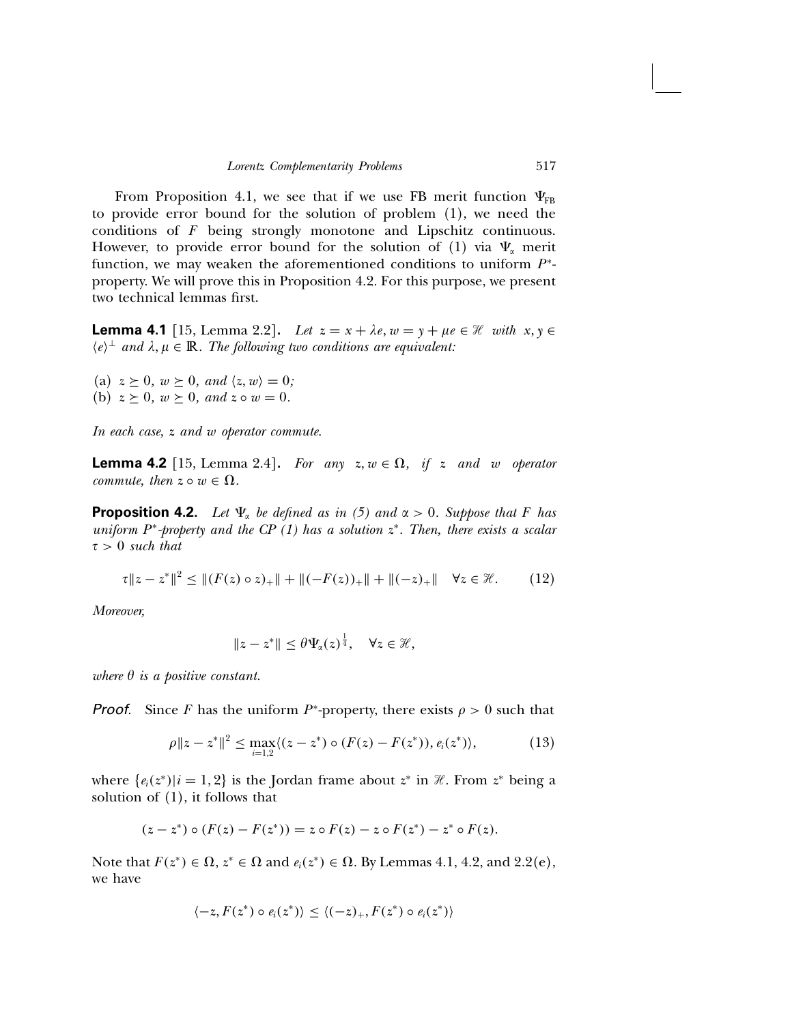From Proposition 4.1, we see that if we use FB merit function  $\Psi_{FB}$ to provide error bound for the solution of problem (1), we need the conditions of F being strongly monotone and Lipschitz continuous. However, to provide error bound for the solution of (1) via  $\Psi_{\alpha}$  merit function, we may weaken the aforementioned conditions to uniform  $P^*$ property. We will prove this in Proposition 4.2. For this purpose, we present two technical lemmas first.

**Lemma 4.1** [15, Lemma 2.2]. Let  $z = x + \lambda e$ ,  $w = y + \mu e \in \mathcal{H}$  with  $x, y \in$  $\langle e \rangle^{\perp}$  and  $\lambda, \mu \in \mathbb{R}$ . The following two conditions are equivalent:

(a)  $z \geq 0$ ,  $w \geq 0$ , and  $\langle z, w \rangle = 0$ ; (b)  $z \geq 0$ ,  $w \geq 0$ , and  $z \circ w = 0$ .

In each case, z and w operator commute.

**Lemma 4.2** [15, Lemma 2.4]. For any  $z, w \in \Omega$ , if z and w operator commute, then  $z \circ w \in \Omega$ .

**Proposition 4.2.** Let  $\Psi_{\alpha}$  be defined as in (5) and  $\alpha > 0$ . Suppose that F has uniform  $P^*$ -property and the CP (1) has a solution  $z^*$ . Then, there exists a scalar  $\tau > 0$  such that

$$
\tau \|z - z^*\|^2 \le \| (F(z) \circ z)_+\| + \| (-F(z))_+\| + \| (-z)_+\| \quad \forall z \in \mathcal{H}.
$$
 (12)

Moreover,

$$
||z-z^*|| \leq \theta \Psi_{\alpha}(z)^{\frac{1}{4}}, \quad \forall z \in \mathcal{H},
$$

where  $\theta$  is a positive constant.

**Proof.** Since F has the uniform  $P^*$ -property, there exists  $\rho > 0$  such that

$$
\rho \|z - z^*\|^2 \le \max_{i=1,2} \langle (z - z^*) \circ (F(z) - F(z^*)), e_i(z^*) \rangle, \tag{13}
$$

where  $\{e_i(z^*)|i=1,2\}$  is the Jordan frame about  $z^*$  in  $\mathcal{H}$ . From  $z^*$  being a solution of (1), it follows that

$$
(z - z^*) \circ (F(z) - F(z^*)) = z \circ F(z) - z \circ F(z^*) - z^* \circ F(z).
$$

Note that  $F(z^*) \in \Omega$ ,  $z^* \in \Omega$  and  $e_i(z^*) \in \Omega$ . By Lemmas 4.1, 4.2, and 2.2(e), we have

$$
\langle -z, F(z^*) \circ e_i(z^*) \rangle \le \langle (-z)_+, F(z^*) \circ e_i(z^*) \rangle
$$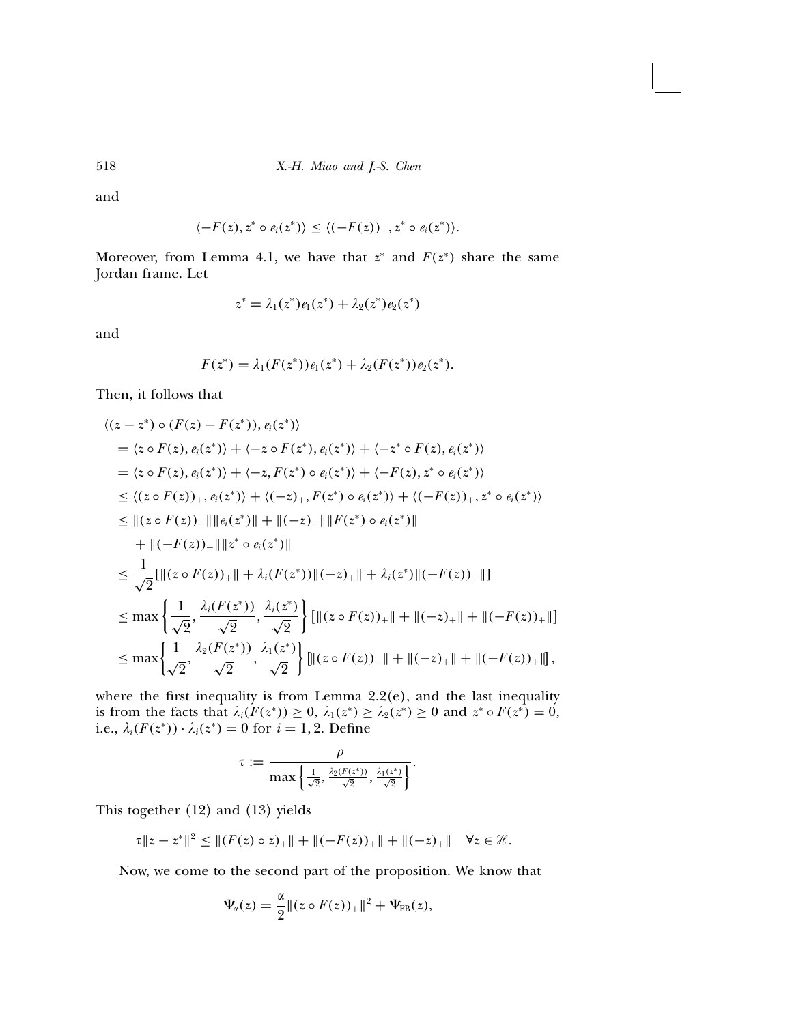and

$$
\langle -F(z), z^* \circ e_i(z^*) \rangle \le \langle (-F(z))_+, z^* \circ e_i(z^*) \rangle.
$$

Moreover, from Lemma 4.1, we have that  $z^*$  and  $F(z^*)$  share the same Jordan frame. Let

$$
z^* = \lambda_1(z^*)e_1(z^*) + \lambda_2(z^*)e_2(z^*)
$$

and

$$
F(z^*) = \lambda_1(F(z^*))e_1(z^*) + \lambda_2(F(z^*))e_2(z^*).
$$

Then, it follows that

$$
\langle (z - z^*) \circ (F(z) - F(z^*)), e_i(z^*) \rangle
$$
  
\n
$$
= \langle z \circ F(z), e_i(z^*) \rangle + \langle -z \circ F(z^*), e_i(z^*) \rangle + \langle -z^* \circ F(z), e_i(z^*) \rangle
$$
  
\n
$$
= \langle z \circ F(z), e_i(z^*) \rangle + \langle -z, F(z^*) \circ e_i(z^*) \rangle + \langle -F(z), z^* \circ e_i(z^*) \rangle
$$
  
\n
$$
\leq \langle (z \circ F(z))_+, e_i(z^*) \rangle + \langle (-z)_+, F(z^*) \circ e_i(z^*) \rangle + \langle (-F(z))_+, z^* \circ e_i(z^*) \rangle
$$
  
\n
$$
\leq ||(z \circ F(z))_+|| ||e_i(z^*)|| + ||(-z)_+|| ||F(z^*) \circ e_i(z^*)||
$$
  
\n
$$
+ ||(-F(z))_+|| ||z^* \circ e_i(z^*)||
$$
  
\n
$$
\leq \frac{1}{\sqrt{2}} [||(z \circ F(z))_+|| + \lambda_i(F(z^*))||(-z)_+|| + \lambda_i(z^*)||(-F(z))_+||]
$$
  
\n
$$
\leq \max \left\{ \frac{1}{\sqrt{2}}, \frac{\lambda_i(F(z^*))}{\sqrt{2}}, \frac{\lambda_i(z^*)}{\sqrt{2}} \right\} [||(z \circ F(z))_+|| + ||(-z)_+|| + ||(-F(z))_+||]
$$
  
\n
$$
\leq \max \left\{ \frac{1}{\sqrt{2}}, \frac{\lambda_2(F(z^*))}{\sqrt{2}}, \frac{\lambda_1(z^*)}{\sqrt{2}} \right\} [||(z \circ F(z))_+|| + ||(-z)_+|| + ||(-F(z))_+||],
$$

where the first inequality is from Lemma  $2.2(e)$ , and the last inequality is from the facts that  $\lambda_i(F(z^*)) \geq 0$ ,  $\lambda_1(z^*) \geq \lambda_2(z^*) \geq 0$  and  $z^* \circ F(z^*) = 0$ , i.e.,  $\lambda_i(F(z^*)) \cdot \lambda_i(z^*) = 0$  for  $i = 1, 2$ . Define

$$
\tau:=\frac{\rho}{\max\left\{\frac{1}{\sqrt{2}},\frac{\lambda_2(F(z^*))}{\sqrt{2}},\frac{\lambda_1(z^*)}{\sqrt{2}}\right\}}.
$$

This together (12) and (13) yields

$$
\tau \|z - z^*\|^2 \leq \| (F(z) \circ z)_+\| + \| (-F(z))_+\| + \| (-z)_+\| \quad \forall z \in \mathcal{H}.
$$

Now, we come to the second part of the proposition. We know that

$$
\Psi_{\alpha}(z) = \frac{\alpha}{2} ||(z \circ F(z))_{+}||^{2} + \Psi_{\text{FB}}(z),
$$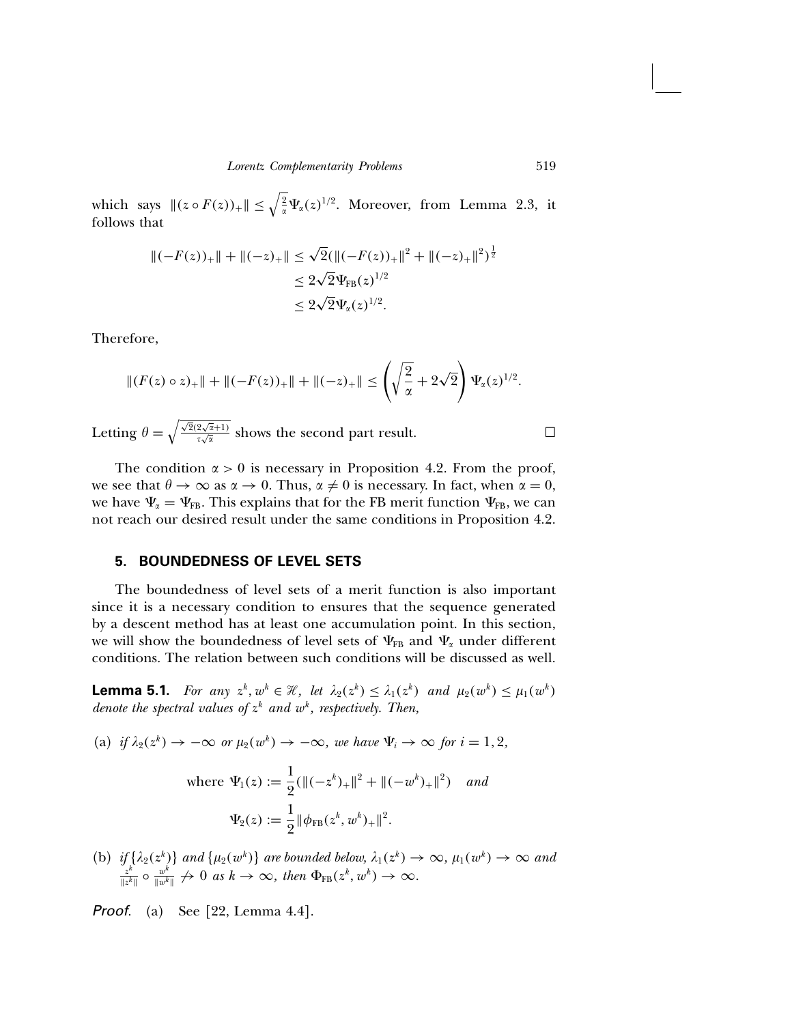which says  $||(z \circ F(z))_+|| \leq \sqrt{\frac{2}{\alpha}} \Psi_\alpha(z)^{1/2}$ . Moreover, from Lemma 2.3, it follows that

$$
\begin{aligned} ||(-F(z))_+|| + ||(-z)_+|| &\le \sqrt{2}(\|( -F(z))_+ \|^2 + \|(-z)_+ \|^2)^{\frac{1}{2}} \\ &\le 2\sqrt{2}\Psi_{\text{FB}}(z)^{1/2} \\ &\le 2\sqrt{2}\Psi_{\alpha}(z)^{1/2} .\end{aligned}
$$

Therefore,

$$
||(F(z) \circ z)_+|| + ||(-F(z))_+|| + ||(-z)_+|| \le \left(\sqrt{\frac{2}{\alpha}} + 2\sqrt{2}\right)\Psi_{\alpha}(z)^{1/2}.
$$

Letting  $\theta = \sqrt{\frac{\sqrt{2}(2\sqrt{\alpha}+1)}{\tau\sqrt{\alpha}}}$  shows the second part result.

The condition  $\alpha > 0$  is necessary in Proposition 4.2. From the proof, we see that  $\theta \to \infty$  as  $\alpha \to 0$ . Thus,  $\alpha \neq 0$  is necessary. In fact, when  $\alpha = 0$ , we have  $\Psi_{\alpha} = \Psi_{FB}$ . This explains that for the FB merit function  $\Psi_{FB}$ , we can not reach our desired result under the same conditions in Proposition 4.2.

### 5. BOUNDEDNESS OF LEVEL SETS

The boundedness of level sets of a merit function is also important since it is a necessary condition to ensures that the sequence generated by a descent method has at least one accumulation point. In this section, we will show the boundedness of level sets of  $\Psi_{FB}$  and  $\Psi_{\alpha}$  under different conditions. The relation between such conditions will be discussed as well.

**Lemma 5.1.** For any  $z^k$ ,  $w^k \in \mathcal{H}$ , let  $\lambda_2(z^k) \leq \lambda_1(z^k)$  and  $\mu_2(w^k) \leq \mu_1(w^k)$ denote the spectral values of  $z^k$  and  $w^k$ , respectively. Then,

(a) if  $\lambda_2(z^k) \to -\infty$  or  $\mu_2(w^k) \to -\infty$ , we have  $\Psi_i \to \infty$  for  $i = 1, 2$ ,

where 
$$
\Psi_1(z) := \frac{1}{2} (\|( -z^k)_+\|^2 + \|(-w^k)_+\|^2)
$$
 and  

$$
\Psi_2(z) := \frac{1}{2} \|\phi_{FB}(z^k, w^k)_+\|^2.
$$

(b) if  $\{\lambda_2(z^k)\}\$  and  $\{\mu_2(w^k)\}\$  are bounded below,  $\lambda_1(z^k) \to \infty$ ,  $\mu_1(w^k) \to \infty$  and  $z^k \geq z^{w^k} \to 0$  as  $k \to \infty$ , then  $\Phi_m(z^k, w^k) \to \infty$  $\frac{z^k}{\|x^k\|} \circ \frac{w^k}{\|w^k\|} \nrightarrow 0 \text{ as } k \rightarrow \infty, \text{ then } \Phi_{FB}(z^k, w^k) \rightarrow \infty.$ 

**Proof.** (a) See [22, Lemma 4.4].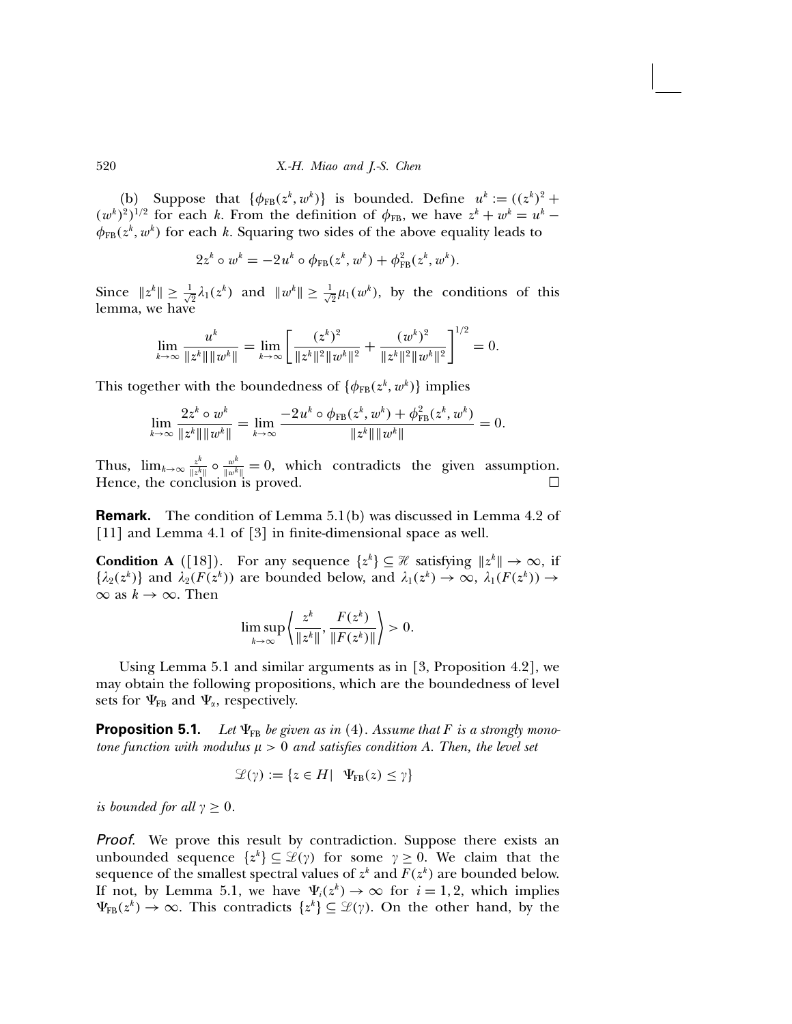(b) Suppose that  $\{\phi_{FB}(z^k, w^k)\}\$ is bounded. Define  $u^k := ((z^k)^2 +$  $(w<sup>k</sup>)<sup>2</sup>)<sup>1/2</sup>$  for each k. From the definition of  $\phi_{FB}$ , we have  $z<sup>k</sup> + w<sup>k</sup> = u<sup>k</sup> - w<sup>k</sup>$  $\phi_{FB}(z^k, w^k)$  for each k. Squaring two sides of the above equality leads to

$$
2z^{k} \circ w^{k} = -2u^{k} \circ \phi_{FB}(z^{k}, w^{k}) + \phi_{FB}^{2}(z^{k}, w^{k}).
$$

Since  $||z^k|| \ge \frac{1}{\sqrt{2}}\lambda_1(z^k)$  and  $||w^k|| \ge \frac{1}{\sqrt{2}}\mu_1(w^k)$ , by the conditions of this lemma, we have

$$
\lim_{k\to\infty}\frac{u^k}{\|z^k\|\|w^k\|}=\lim_{k\to\infty}\left[\frac{(z^k)^2}{\|z^k\|^2\|w^k\|^2}+\frac{(w^k)^2}{\|z^k\|^2\|w^k\|^2}\right]^{1/2}=0.
$$

This together with the boundedness of  $\{\phi_{\text{\tiny FB}}(z^k, w^k)\}$  implies

$$
\lim_{k\to\infty}\frac{2z^k\circ w^k}{\|z^k\|\|w^k\|}=\lim_{k\to\infty}\frac{-2u^k\circ\phi_{\text{FB}}(z^k,w^k)+\phi_{\text{FB}}^2(z^k,w^k)}{\|z^k\|\|w^k\|}=0.
$$

Thus,  $\lim_{k\to\infty} \frac{z^k}{\|z^k\|} \circ \frac{w^k}{\|w^k\|} = 0$ , which contradicts the given assumption. Hence, the conclusion is proved.  $\square$ 

Remark**.** The condition of Lemma 5.1(b) was discussed in Lemma 4.2 of [11] and Lemma 4.1 of [3] in finite-dimensional space as well.

**Condition A** ([18]). For any sequence  $\{z^k\} \subseteq \mathcal{H}$  satisfying  $||z^k|| \to \infty$ , if  $\{\lambda_2(z^k)\}\$ and  $\lambda_2(F(z^k))$  are bounded below, and  $\lambda_1(z^k) \to \infty$ ,  $\lambda_1(F(z^k)) \to$  $\infty$  as  $k \to \infty$ . Then

$$
\limsup_{k\to\infty}\left\langle\frac{z^k}{\|z^k\|},\frac{F(z^k)}{\|F(z^k)\|}\right\rangle>0.
$$

Using Lemma 5.1 and similar arguments as in [3, Proposition 4.2], we may obtain the following propositions, which are the boundedness of level sets for  $\Psi_{FB}$  and  $\Psi_{\alpha}$ , respectively.

**Proposition 5.1.** Let  $\Psi_{FB}$  be given as in (4). Assume that F is a strongly monotone function with modulus  $\mu > 0$  and satisfies condition A. Then, the level set

$$
\mathcal{L}(\gamma) := \{ z \in H \mid \Psi_{FB}(z) \leq \gamma \}
$$

is bounded for all  $\gamma \geq 0$ .

Proof. We prove this result by contradiction. Suppose there exists an unbounded sequence  $\{z^k\} \subseteq \mathcal{L}(\gamma)$  for some  $\gamma \geq 0$ . We claim that the sequence of the smallest spectral values of  $z^k$  and  $F(z^k)$  are bounded below. If not, by Lemma 5.1, we have  $\Psi_i(z^k) \to \infty$  for  $i = 1, 2$ , which implies  $\Psi_{FB}(z^k) \to \infty$ . This contradicts  $\{z^k\} \subseteq \mathcal{L}(\gamma)$ . On the other hand, by the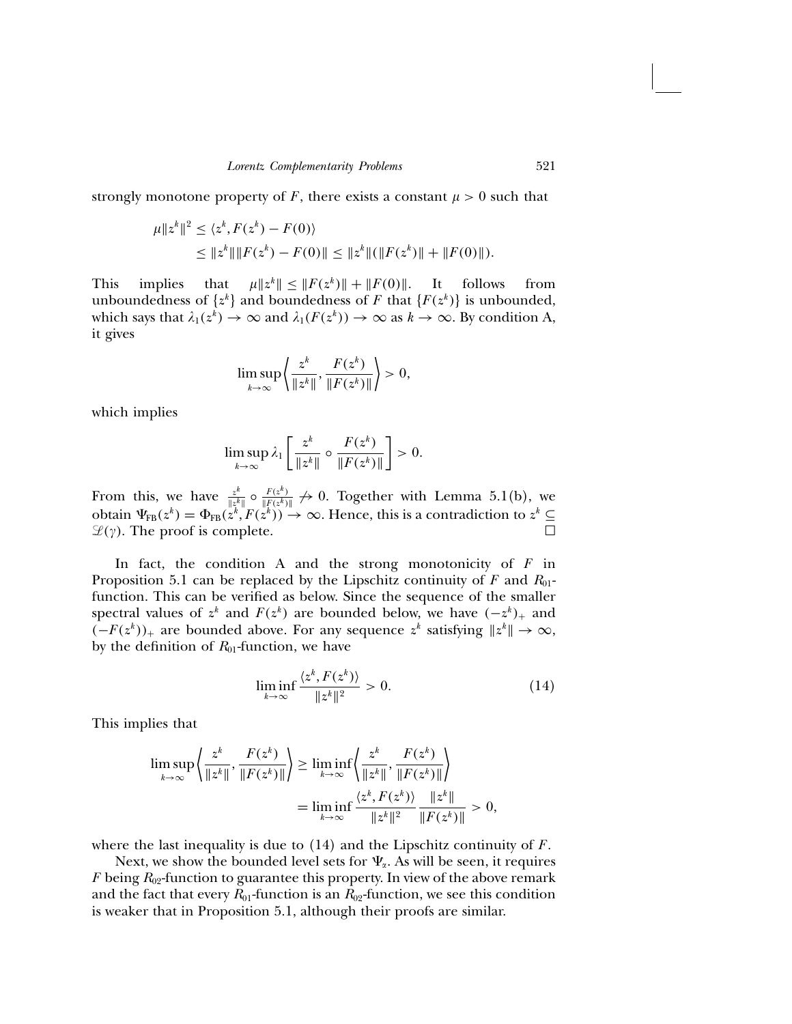strongly monotone property of F, there exists a constant  $\mu > 0$  such that

$$
\begin{aligned} \mu \|z^k\|^2 &\leq \langle z^k, F(z^k) - F(0) \rangle \\ &\leq \|z^k\| \|F(z^k) - F(0)\| \leq \|z^k\| (\|F(z^k)\| + \|F(0)\|). \end{aligned}
$$

This implies that  $\mu \|z^k\| \leq \|F(z^k)\| + \|F(0)\|$ . It follows from unboundedness of  $\{z^k\}$  and boundedness of F that  $\{F(z^k)\}$  is unbounded, which says that  $\lambda_1(z^k) \to \infty$  and  $\lambda_1(F(z^k)) \to \infty$  as  $k \to \infty$ . By condition A, it gives

$$
\limsup_{k\to\infty}\left\{\frac{z^k}{\|z^k\|},\frac{F(z^k)}{\|F(z^k)\|}\right\}>0,
$$

which implies

$$
\limsup_{k\to\infty}\lambda_1\left[\frac{z^k}{\|z^k\|}\circ\frac{F(z^k)}{\|F(z^k)\|}\right]>0.
$$

From this, we have  $\frac{z^k}{\|z^k\|} \circ \frac{F(z^k)}{\|F(z^k)\|} \nrightarrow 0$ . Together with Lemma 5.1(b), we obtain  $\Psi_{FB}(z^k) = \Phi_{FB}(z^k, F(z^k)) \to \infty$ . Hence, this is a contradiction to  $z^k \subseteq$  $\mathcal{L}(\gamma)$ . The proof is complete.

In fact, the condition A and the strong monotonicity of  $F$  in Proposition 5.1 can be replaced by the Lipschitz continuity of F and  $R_{01}$ function. This can be verified as below. Since the sequence of the smaller spectral values of  $z^k$  and  $F(z^k)$  are bounded below, we have  $(-z^k)_+$  and  $(-F(z^k))_+$  are bounded above. For any sequence  $z^k$  satisfying  $||z^k|| \to \infty$ , by the definition of  $R_{01}$ -function, we have

$$
\liminf_{k \to \infty} \frac{\langle z^k, F(z^k) \rangle}{\|z^k\|^2} > 0. \tag{14}
$$

This implies that

$$
\limsup_{k \to \infty} \left\{ \frac{z^k}{\|z^k\|}, \frac{F(z^k)}{\|F(z^k)\|} \right\} \ge \liminf_{k \to \infty} \left\{ \frac{z^k}{\|z^k\|}, \frac{F(z^k)}{\|F(z^k)\|} \right\}
$$
\n
$$
= \liminf_{k \to \infty} \frac{\left\langle z^k, F(z^k) \right\rangle}{\|z^k\|^2} \frac{\|z^k\|}{\|F(z^k)\|} > 0,
$$

where the last inequality is due to  $(14)$  and the Lipschitz continuity of F.

Next, we show the bounded level sets for  $\Psi_{\alpha}$ . As will be seen, it requires F being  $R_{02}$ -function to guarantee this property. In view of the above remark and the fact that every  $R_{01}$ -function is an  $R_{02}$ -function, we see this condition is weaker that in Proposition 5.1, although their proofs are similar.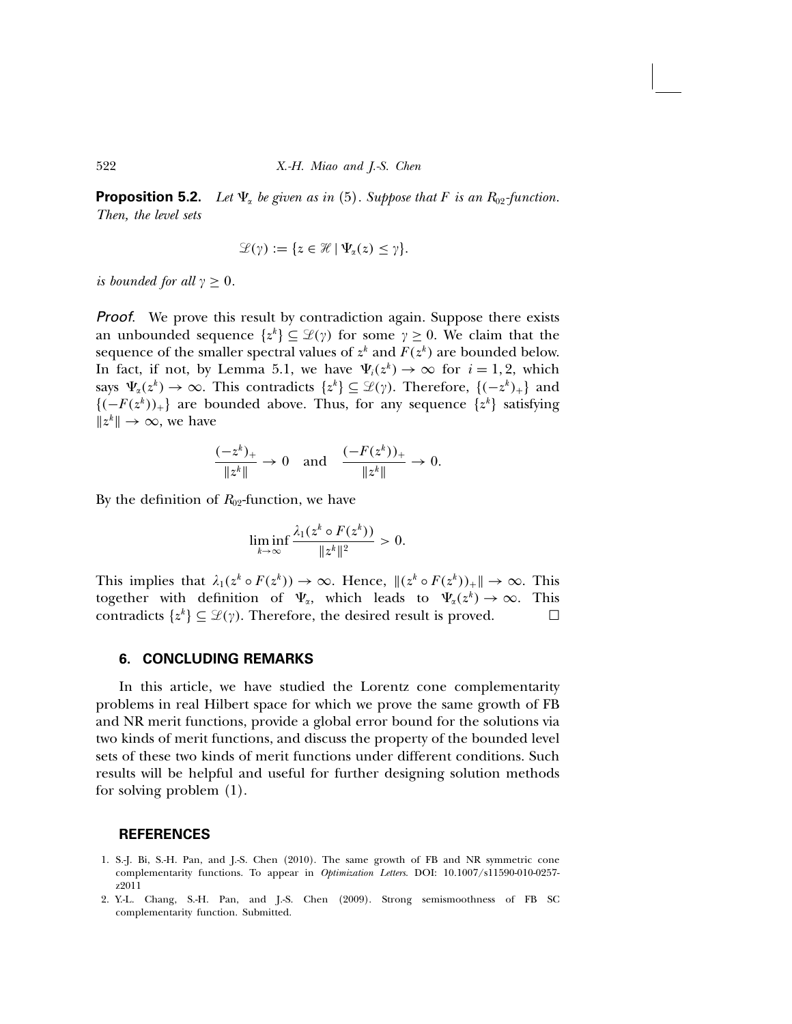**Proposition 5.2.** Let  $\Psi_{\alpha}$  be given as in (5). Suppose that F is an  $R_{02}$ -function. Then, the level sets

$$
\mathscr{L}(\gamma) := \{ z \in \mathscr{H} \mid \Psi_{\alpha}(z) \leq \gamma \}.
$$

is bounded for all  $\gamma > 0$ .

Proof. We prove this result by contradiction again. Suppose there exists an unbounded sequence  $\{z^k\} \subseteq \mathcal{L}(\gamma)$  for some  $\gamma \geq 0$ . We claim that the sequence of the smaller spectral values of  $z^k$  and  $F(z^k)$  are bounded below. In fact, if not, by Lemma 5.1, we have  $\Psi_i(z^k) \to \infty$  for  $i = 1, 2$ , which says  $\Psi_{\alpha}(z^k) \to \infty$ . This contradicts  $\{z^k\} \subseteq \mathcal{L}(\gamma)$ . Therefore,  $\{(-z^k)_+\}$  and  ${(-F(z<sup>k</sup>))<sub>+</sub>}$  are bounded above. Thus, for any sequence  $\{z<sup>k</sup>\}$  satisfying  $||z^k||$  → ∞, we have

$$
\frac{(-z^k)_+}{\|z^k\|} \to 0 \quad \text{and} \quad \frac{(-F(z^k))_+}{\|z^k\|} \to 0.
$$

By the definition of  $R_{02}$ -function, we have

$$
\liminf_{k\to\infty}\frac{\lambda_1(z^k\circ F(z^k))}{\|z^k\|^2}>0.
$$

This implies that  $\lambda_1(z^k \circ F(z^k)) \to \infty$ . Hence,  $\|(z^k \circ F(z^k))_+\| \to \infty$ . This together with definition of  $\Psi_{\alpha}$ , which leads to  $\Psi_{\alpha}(z^{k}) \to \infty$ . This contradicts  $\{z^{k}\} \subseteq \mathcal{L}(\nu)$ . Therefore, the desired result is proved. contradicts  $\{z^k\} \subseteq \mathcal{L}(\gamma)$ . Therefore, the desired result is proved.

#### 6. CONCLUDING REMARKS

In this article, we have studied the Lorentz cone complementarity problems in real Hilbert space for which we prove the same growth of FB and NR merit functions, provide a global error bound for the solutions via two kinds of merit functions, and discuss the property of the bounded level sets of these two kinds of merit functions under different conditions. Such results will be helpful and useful for further designing solution methods for solving problem (1).

#### REFERENCES

- 1. S.-J. Bi, S.-H. Pan, and J.-S. Chen (2010). The same growth of FB and NR symmetric cone complementarity functions. To appear in Optimization Letters. DOI: 10.1007/s11590-010-0257 z2011
- 2. Y.-L. Chang, S.-H. Pan, and J.-S. Chen (2009). Strong semismoothness of FB SC complementarity function. Submitted.